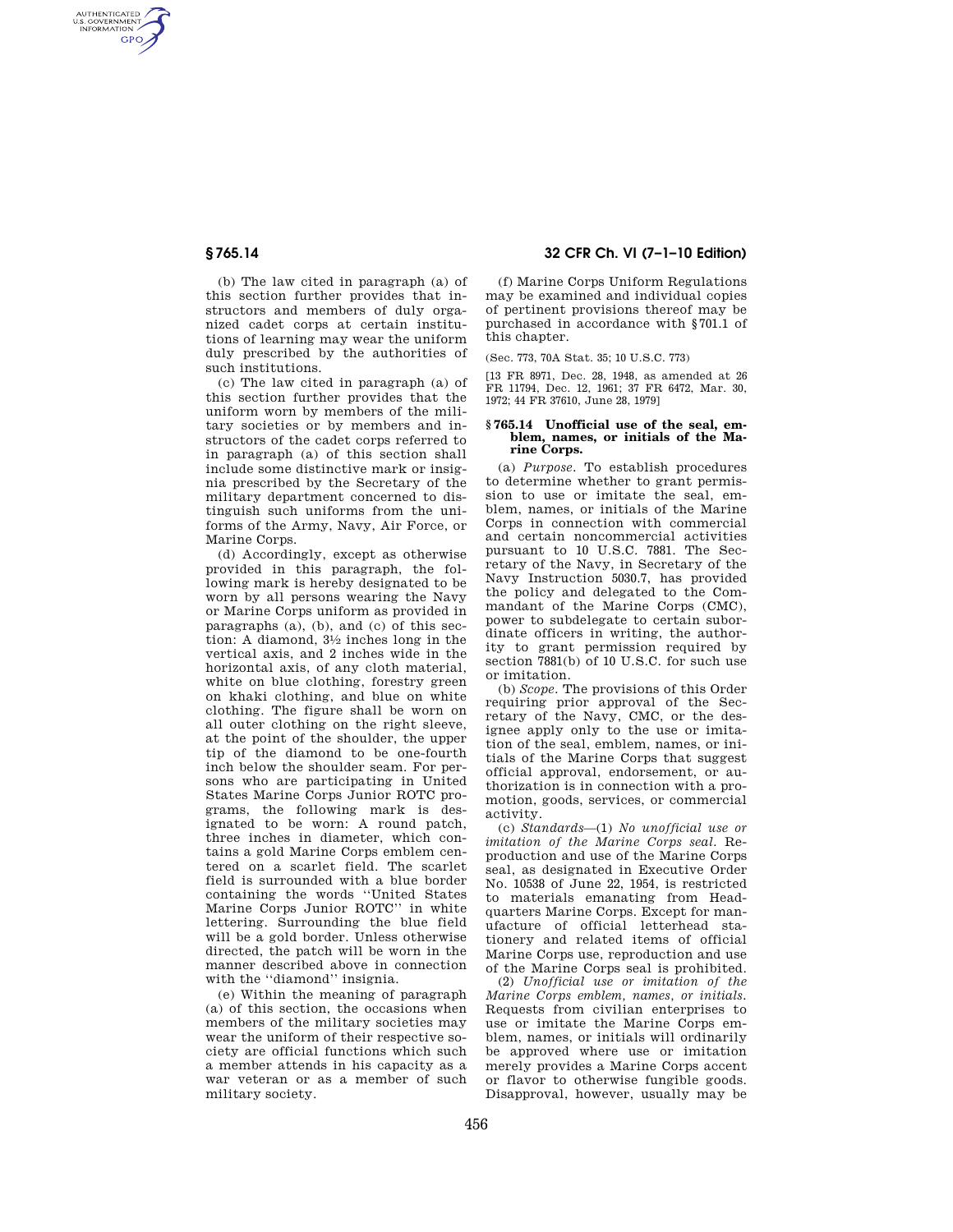AUTHENTICATED<br>U.S. GOVERNMENT<br>INFORMATION **GPO** 

> (b) The law cited in paragraph (a) of this section further provides that instructors and members of duly organized cadet corps at certain institutions of learning may wear the uniform duly prescribed by the authorities of such institutions.

> (c) The law cited in paragraph (a) of this section further provides that the uniform worn by members of the military societies or by members and instructors of the cadet corps referred to in paragraph (a) of this section shall include some distinctive mark or insignia prescribed by the Secretary of the military department concerned to distinguish such uniforms from the uniforms of the Army, Navy, Air Force, or Marine Corps.

> (d) Accordingly, except as otherwise provided in this paragraph, the following mark is hereby designated to be worn by all persons wearing the Navy or Marine Corps uniform as provided in paragraphs (a), (b), and (c) of this section: A diamond, 31⁄2 inches long in the vertical axis, and 2 inches wide in the horizontal axis, of any cloth material, white on blue clothing, forestry green on khaki clothing, and blue on white clothing. The figure shall be worn on all outer clothing on the right sleeve, at the point of the shoulder, the upper tip of the diamond to be one-fourth inch below the shoulder seam. For persons who are participating in United States Marine Corps Junior ROTC programs, the following mark is designated to be worn: A round patch, three inches in diameter, which contains a gold Marine Corps emblem centered on a scarlet field. The scarlet field is surrounded with a blue border containing the words ''United States Marine Corps Junior ROTC'' in white lettering. Surrounding the blue field will be a gold border. Unless otherwise directed, the patch will be worn in the manner described above in connection with the ''diamond'' insignia.

(e) Within the meaning of paragraph (a) of this section, the occasions when members of the military societies may wear the uniform of their respective society are official functions which such a member attends in his capacity as a war veteran or as a member of such military society.

## **§ 765.14 32 CFR Ch. VI (7–1–10 Edition)**

(f) Marine Corps Uniform Regulations may be examined and individual copies of pertinent provisions thereof may be purchased in accordance with §701.1 of this chapter.

(Sec. 773, 70A Stat. 35; 10 U.S.C. 773)

[13 FR 8971, Dec. 28, 1948, as amended at 26 FR 11794, Dec. 12, 1961; 37 FR 6472, Mar. 30, 1972; 44 FR 37610, June 28, 1979]

## **§ 765.14 Unofficial use of the seal, emblem, names, or initials of the Marine Corps.**

(a) *Purpose.* To establish procedures to determine whether to grant permission to use or imitate the seal, emblem, names, or initials of the Marine Corps in connection with commercial and certain noncommercial activities pursuant to 10 U.S.C. 7881. The Secretary of the Navy, in Secretary of the Navy Instruction 5030.7, has provided the policy and delegated to the Commandant of the Marine Corps (CMC), power to subdelegate to certain subordinate officers in writing, the authority to grant permission required by section 7881(b) of 10 U.S.C. for such use or imitation.

(b) *Scope.* The provisions of this Order requiring prior approval of the Secretary of the Navy, CMC, or the designee apply only to the use or imitation of the seal, emblem, names, or initials of the Marine Corps that suggest official approval, endorsement, or authorization is in connection with a promotion, goods, services, or commercial activity.

(c) *Standards*—(1) *No unofficial use or imitation of the Marine Corps seal.* Reproduction and use of the Marine Corps seal, as designated in Executive Order No. 10538 of June 22, 1954, is restricted to materials emanating from Headquarters Marine Corps. Except for manufacture of official letterhead stationery and related items of official Marine Corps use, reproduction and use of the Marine Corps seal is prohibited.

(2) *Unofficial use or imitation of the Marine Corps emblem, names, or initials.*  Requests from civilian enterprises to use or imitate the Marine Corps emblem, names, or initials will ordinarily be approved where use or imitation merely provides a Marine Corps accent or flavor to otherwise fungible goods. Disapproval, however, usually may be